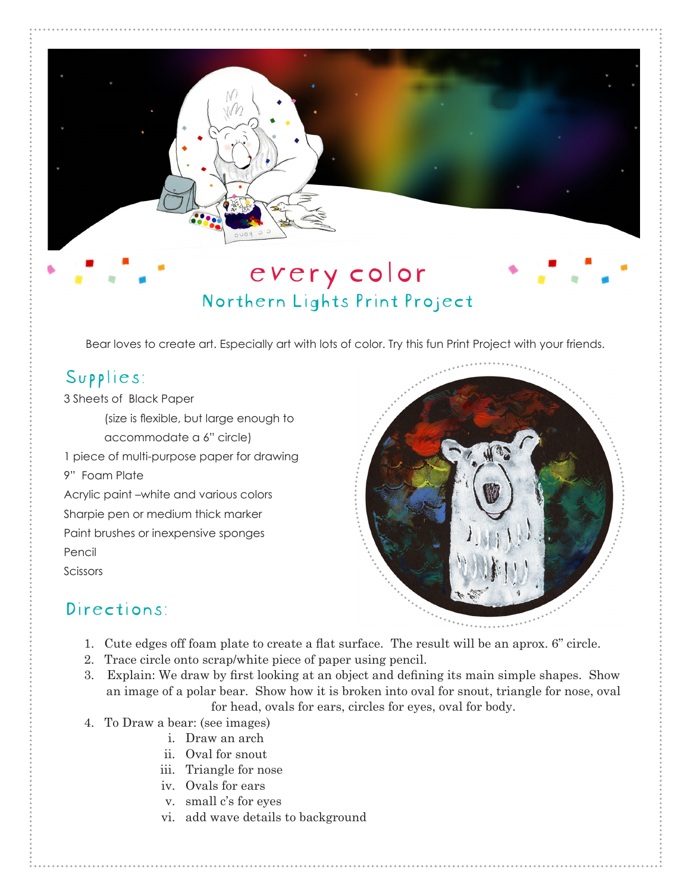## every color Northern Lights Print Project

Bear loves to create art. Especially art with lots of color. Try this fun Print Project with your friends.

## Supplies:

3 Sheets of Black Paper

(size is flexible, but large enough to accommodate a 6" circle)

1 piece of multi-purpose paper for drawing

9" Foam Plate

Acrylic paint –white and various colors Sharpie pen or medium thick marker Paint brushes or inexpensive sponges Pencil

Scissors



## Directions:

- 1. Cute edges off foam plate to create a flat surface. The result will be an aprox. 6" circle.
- 2. Trace circle onto scrap/white piece of paper using pencil.
- 3. Explain: We draw by first looking at an object and defining its main simple shapes. Show an image of a polar bear. Show how it is broken into oval for snout, triangle for nose, oval for head, ovals for ears, circles for eyes, oval for body.
- 4. To Draw a bear: (see images)
	- i. Draw an arch
	- ii. Oval for snout
	- iii. Triangle for nose
	- iv. Ovals for ears
	- v. small c's for eyes
	- vi. add wave details to background